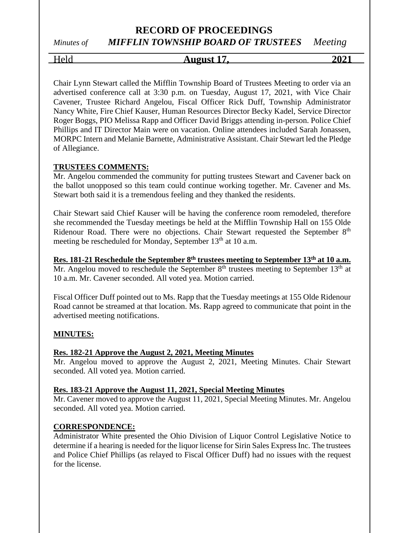# Held **August 17, 2021**

Chair Lynn Stewart called the Mifflin Township Board of Trustees Meeting to order via an advertised conference call at 3:30 p.m. on Tuesday, August 17, 2021, with Vice Chair Cavener, Trustee Richard Angelou, Fiscal Officer Rick Duff, Township Administrator Nancy White, Fire Chief Kauser, Human Resources Director Becky Kadel, Service Director Roger Boggs, PIO Melissa Rapp and Officer David Briggs attending in-person. Police Chief Phillips and IT Director Main were on vacation. Online attendees included Sarah Jonassen, MORPC Intern and Melanie Barnette, Administrative Assistant. Chair Stewart led the Pledge of Allegiance.

## **TRUSTEES COMMENTS:**

Mr. Angelou commended the community for putting trustees Stewart and Cavener back on the ballot unopposed so this team could continue working together. Mr. Cavener and Ms. Stewart both said it is a tremendous feeling and they thanked the residents.

Chair Stewart said Chief Kauser will be having the conference room remodeled, therefore she recommended the Tuesday meetings be held at the Mifflin Township Hall on 155 Olde Ridenour Road. There were no objections. Chair Stewart requested the September 8<sup>th</sup> meeting be rescheduled for Monday, September 13<sup>th</sup> at 10 a.m.

**Res. 181-21 Reschedule the September 8th trustees meeting to September 13th at 10 a.m.** Mr. Angelou moved to reschedule the September  $8<sup>th</sup>$  trustees meeting to September  $13<sup>th</sup>$  at 10 a.m. Mr. Cavener seconded. All voted yea. Motion carried.

Fiscal Officer Duff pointed out to Ms. Rapp that the Tuesday meetings at 155 Olde Ridenour Road cannot be streamed at that location. Ms. Rapp agreed to communicate that point in the advertised meeting notifications.

## **MINUTES:**

## **Res. 182-21 Approve the August 2, 2021, Meeting Minutes**

Mr. Angelou moved to approve the August 2, 2021, Meeting Minutes. Chair Stewart seconded. All voted yea. Motion carried.

#### **Res. 183-21 Approve the August 11, 2021, Special Meeting Minutes**

Mr. Cavener moved to approve the August 11, 2021, Special Meeting Minutes. Mr. Angelou seconded. All voted yea. Motion carried.

## **CORRESPONDENCE:**

Administrator White presented the Ohio Division of Liquor Control Legislative Notice to determine if a hearing is needed for the liquor license for Sirin Sales Express Inc. The trustees and Police Chief Phillips (as relayed to Fiscal Officer Duff) had no issues with the request for the license.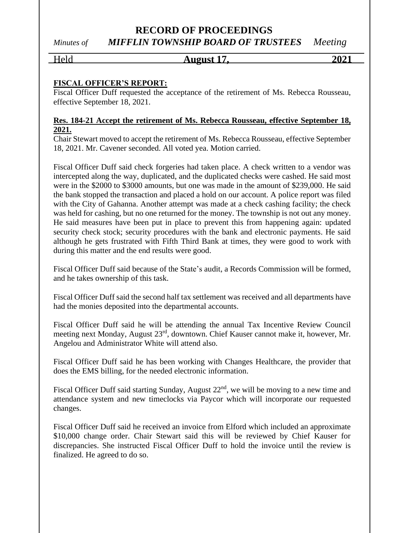## Held **August 17, 2021**

## **FISCAL OFFICER'S REPORT:**

Fiscal Officer Duff requested the acceptance of the retirement of Ms. Rebecca Rousseau, effective September 18, 2021.

## **Res. 184-21 Accept the retirement of Ms. Rebecca Rousseau, effective September 18, 2021.**

Chair Stewart moved to accept the retirement of Ms. Rebecca Rousseau, effective September 18, 2021. Mr. Cavener seconded. All voted yea. Motion carried.

Fiscal Officer Duff said check forgeries had taken place. A check written to a vendor was intercepted along the way, duplicated, and the duplicated checks were cashed. He said most were in the \$2000 to \$3000 amounts, but one was made in the amount of \$239,000. He said the bank stopped the transaction and placed a hold on our account. A police report was filed with the City of Gahanna. Another attempt was made at a check cashing facility; the check was held for cashing, but no one returned for the money. The township is not out any money. He said measures have been put in place to prevent this from happening again: updated security check stock; security procedures with the bank and electronic payments. He said although he gets frustrated with Fifth Third Bank at times, they were good to work with during this matter and the end results were good.

Fiscal Officer Duff said because of the State's audit, a Records Commission will be formed, and he takes ownership of this task.

Fiscal Officer Duff said the second half tax settlement was received and all departments have had the monies deposited into the departmental accounts.

Fiscal Officer Duff said he will be attending the annual Tax Incentive Review Council meeting next Monday, August 23rd, downtown. Chief Kauser cannot make it, however, Mr. Angelou and Administrator White will attend also.

Fiscal Officer Duff said he has been working with Changes Healthcare, the provider that does the EMS billing, for the needed electronic information.

Fiscal Officer Duff said starting Sunday, August 22<sup>nd</sup>, we will be moving to a new time and attendance system and new timeclocks via Paycor which will incorporate our requested changes.

Fiscal Officer Duff said he received an invoice from Elford which included an approximate \$10,000 change order. Chair Stewart said this will be reviewed by Chief Kauser for discrepancies. She instructed Fiscal Officer Duff to hold the invoice until the review is finalized. He agreed to do so.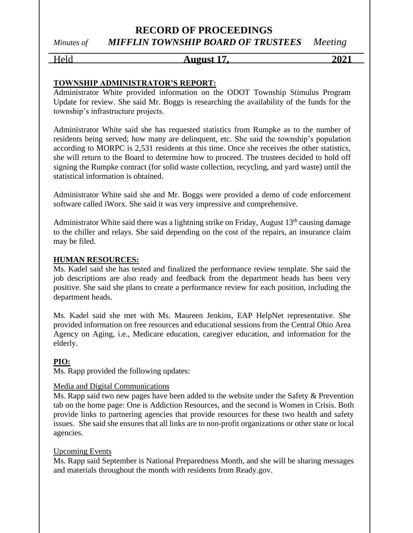## Held **August 17, 2021**

## **TOWNSHIP ADMINISTRATOR'S REPORT:**

Administrator White provided information on the ODOT Township Stimulus Program Update for review. She said Mr. Boggs is researching the availability of the funds for the township's infrastructure projects.

Administrator White said she has requested statistics from Rumpke as to the number of residents being served; how many are delinquent, etc. She said the township's population according to MORPC is 2,531 residents at this time. Once she receives the other statistics, she will return to the Board to determine how to proceed. The trustees decided to hold off signing the Rumpke contract (for solid waste collection, recycling, and yard waste) until the statistical information is obtained.

Administrator White said she and Mr. Boggs were provided a demo of code enforcement software called iWorx. She said it was very impressive and comprehensive.

Administrator White said there was a lightning strike on Friday, August  $13<sup>th</sup>$  causing damage to the chiller and relays. She said depending on the cost of the repairs, an insurance claim may be filed.

## **HUMAN RESOURCES:**

Ms. Kadel said she has tested and finalized the performance review template. She said the job descriptions are also ready and feedback from the department heads has been very positive. She said she plans to create a performance review for each position, including the department heads.

Ms. Kadel said she met with Ms. Maureen Jenkins, EAP HelpNet representative. She provided information on free resources and educational sessions from the Central Ohio Area Agency on Aging, i.e., Medicare education, caregiver education, and information for the elderly.

## **PIO:**

Ms. Rapp provided the following updates:

## Media and Digital Communications

Ms. Rapp said two new pages have been added to the website under the Safety & Prevention tab on the home page: One is Addiction Resources, and the second is Women in Crisis. Both provide links to partnering agencies that provide resources for these two health and safety issues. She said she ensures that all links are to non-profit organizations or other state or local agencies.

## Upcoming Events

Ms. Rapp said September is National Preparedness Month, and she will be sharing messages and materials throughout the month with residents from Ready.gov.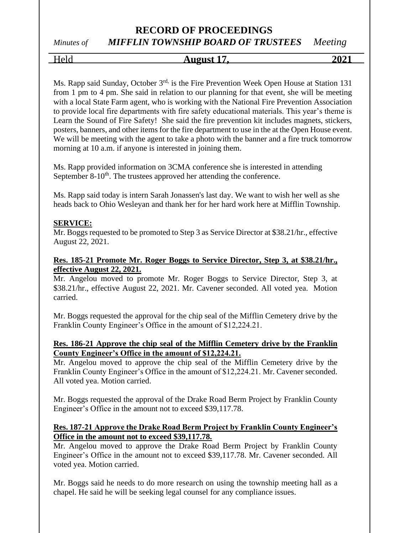Held **August 17, 2021**

Ms. Rapp said Sunday, October 3<sup>rd,</sup> is the Fire Prevention Week Open House at Station 131 from 1 pm to 4 pm. She said in relation to our planning for that event, she will be meeting with a local State Farm agent, who is working with the National Fire Prevention Association to provide local fire departments with fire safety educational materials. This year's theme is Learn the Sound of Fire Safety! She said the fire prevention kit includes magnets, stickers, posters, banners, and other items for the fire department to use in the at the Open House event. We will be meeting with the agent to take a photo with the banner and a fire truck tomorrow morning at 10 a.m. if anyone is interested in joining them.

Ms. Rapp provided information on 3CMA conference she is interested in attending September 8-10<sup>th</sup>. The trustees approved her attending the conference.

Ms. Rapp said today is intern Sarah Jonassen's last day. We want to wish her well as she heads back to Ohio Wesleyan and thank her for her hard work here at Mifflin Township.

## **SERVICE:**

Mr. Boggs requested to be promoted to Step 3 as Service Director at \$38.21/hr., effective August 22, 2021.

## **Res. 185-21 Promote Mr. Roger Boggs to Service Director, Step 3, at \$38.21/hr., effective August 22, 2021.**

Mr. Angelou moved to promote Mr. Roger Boggs to Service Director, Step 3, at \$38.21/hr., effective August 22, 2021. Mr. Cavener seconded. All voted yea. Motion carried.

Mr. Boggs requested the approval for the chip seal of the Mifflin Cemetery drive by the Franklin County Engineer's Office in the amount of \$12,224.21.

## **Res. 186-21 Approve the chip seal of the Mifflin Cemetery drive by the Franklin County Engineer's Office in the amount of \$12,224.21.**

Mr. Angelou moved to approve the chip seal of the Mifflin Cemetery drive by the Franklin County Engineer's Office in the amount of \$12,224.21. Mr. Cavener seconded. All voted yea. Motion carried.

Mr. Boggs requested the approval of the Drake Road Berm Project by Franklin County Engineer's Office in the amount not to exceed \$39,117.78.

## **Res. 187-21 Approve the Drake Road Berm Project by Franklin County Engineer's Office in the amount not to exceed \$39,117.78.**

Mr. Angelou moved to approve the Drake Road Berm Project by Franklin County Engineer's Office in the amount not to exceed \$39,117.78. Mr. Cavener seconded. All voted yea. Motion carried.

Mr. Boggs said he needs to do more research on using the township meeting hall as a chapel. He said he will be seeking legal counsel for any compliance issues.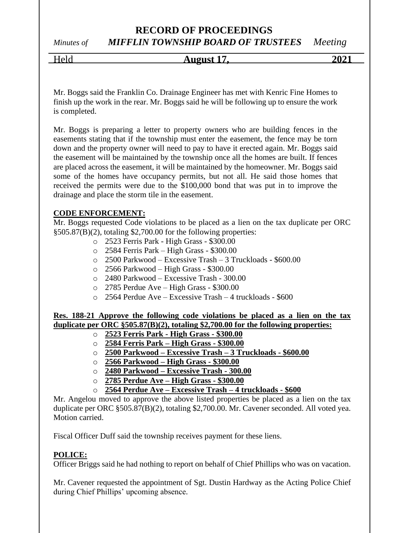## **RECORD OF PROCEEDINGS**

# *Minutes of MIFFLIN TOWNSHIP BOARD OF TRUSTEES Meeting*

## Held **August 17, 2021**

Mr. Boggs said the Franklin Co. Drainage Engineer has met with Kenric Fine Homes to finish up the work in the rear. Mr. Boggs said he will be following up to ensure the work is completed.

Mr. Boggs is preparing a letter to property owners who are building fences in the easements stating that if the township must enter the easement, the fence may be torn down and the property owner will need to pay to have it erected again. Mr. Boggs said the easement will be maintained by the township once all the homes are built. If fences are placed across the easement, it will be maintained by the homeowner. Mr. Boggs said some of the homes have occupancy permits, but not all. He said those homes that received the permits were due to the \$100,000 bond that was put in to improve the drainage and place the storm tile in the easement.

## **CODE ENFORCEMENT:**

Mr. Boggs requested Code violations to be placed as a lien on the tax duplicate per ORC §505.87(B)(2), totaling \$2,700.00 for the following properties:

- o 2523 Ferris Park High Grass \$300.00
- o 2584 Ferris Park High Grass \$300.00
- o 2500 Parkwood Excessive Trash 3 Truckloads \$600.00
- o 2566 Parkwood High Grass \$300.00
- o 2480 Parkwood Excessive Trash 300.00
- o 2785 Perdue Ave High Grass \$300.00
- o 2564 Perdue Ave Excessive Trash 4 truckloads \$600

**Res. 188-21 Approve the following code violations be placed as a lien on the tax duplicate per ORC §505.87(B)(2), totaling \$2,700.00 for the following properties:**

## o **2523 Ferris Park - High Grass - \$300.00**

- o **2584 Ferris Park – High Grass - \$300.00**
- o **2500 Parkwood – Excessive Trash – 3 Truckloads - \$600.00**
- o **2566 Parkwood – High Grass - \$300.00**
- o **2480 Parkwood – Excessive Trash - 300.00**
- o **2785 Perdue Ave – High Grass - \$300.00**
- o **2564 Perdue Ave – Excessive Trash – 4 truckloads - \$600**

Mr. Angelou moved to approve the above listed properties be placed as a lien on the tax duplicate per ORC §505.87(B)(2), totaling \$2,700.00. Mr. Cavener seconded. All voted yea. Motion carried.

Fiscal Officer Duff said the township receives payment for these liens.

## **POLICE:**

Officer Briggs said he had nothing to report on behalf of Chief Phillips who was on vacation.

Mr. Cavener requested the appointment of Sgt. Dustin Hardway as the Acting Police Chief during Chief Phillips' upcoming absence.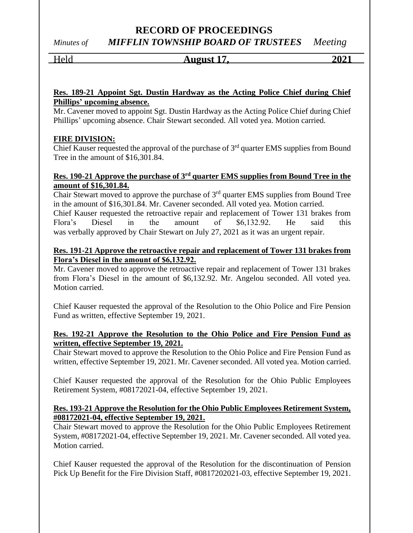## **RECORD OF PROCEEDINGS**

*Minutes of MIFFLIN TOWNSHIP BOARD OF TRUSTEES Meeting*

# Held **August 17, 2021**

## **Res. 189-21 Appoint Sgt. Dustin Hardway as the Acting Police Chief during Chief Phillips' upcoming absence.**

Mr. Cavener moved to appoint Sgt. Dustin Hardway as the Acting Police Chief during Chief Phillips' upcoming absence. Chair Stewart seconded. All voted yea. Motion carried.

## **FIRE DIVISION:**

Chief Kauser requested the approval of the purchase of 3<sup>rd</sup> quarter EMS supplies from Bound Tree in the amount of \$16,301.84.

## **Res. 190-21 Approve the purchase of 3rd quarter EMS supplies from Bound Tree in the amount of \$16,301.84.**

Chair Stewart moved to approve the purchase of  $3<sup>rd</sup>$  quarter EMS supplies from Bound Tree in the amount of \$16,301.84. Mr. Cavener seconded. All voted yea. Motion carried. Chief Kauser requested the retroactive repair and replacement of Tower 131 brakes from Flora's Diesel in the amount of \$6,132.92. He said this was verbally approved by Chair Stewart on July 27, 2021 as it was an urgent repair.

## **Res. 191-21 Approve the retroactive repair and replacement of Tower 131 brakes from Flora's Diesel in the amount of \$6,132.92.**

Mr. Cavener moved to approve the retroactive repair and replacement of Tower 131 brakes from Flora's Diesel in the amount of \$6,132.92. Mr. Angelou seconded. All voted yea. Motion carried.

Chief Kauser requested the approval of the Resolution to the Ohio Police and Fire Pension Fund as written, effective September 19, 2021.

## **Res. 192-21 Approve the Resolution to the Ohio Police and Fire Pension Fund as written, effective September 19, 2021.**

Chair Stewart moved to approve the Resolution to the Ohio Police and Fire Pension Fund as written, effective September 19, 2021. Mr. Cavener seconded. All voted yea. Motion carried.

Chief Kauser requested the approval of the Resolution for the Ohio Public Employees Retirement System, #08172021-04, effective September 19, 2021.

## **Res. 193-21 Approve the Resolution for the Ohio Public Employees Retirement System, #08172021-04, effective September 19, 2021.**

Chair Stewart moved to approve the Resolution for the Ohio Public Employees Retirement System, #08172021-04, effective September 19, 2021. Mr. Cavener seconded. All voted yea. Motion carried.

Chief Kauser requested the approval of the Resolution for the discontinuation of Pension Pick Up Benefit for the Fire Division Staff, #0817202021-03, effective September 19, 2021.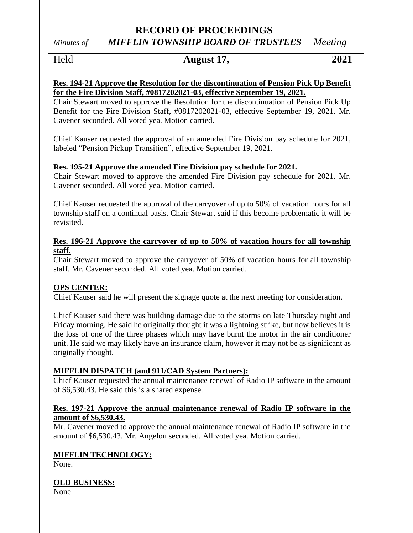## **RECORD OF PROCEEDINGS**

*Minutes of MIFFLIN TOWNSHIP BOARD OF TRUSTEES Meeting*

# Held **August 17, 2021**

## **Res. 194-21 Approve the Resolution for the discontinuation of Pension Pick Up Benefit for the Fire Division Staff, #0817202021-03, effective September 19, 2021.**

Chair Stewart moved to approve the Resolution for the discontinuation of Pension Pick Up Benefit for the Fire Division Staff, #0817202021-03, effective September 19, 2021. Mr. Cavener seconded. All voted yea. Motion carried.

Chief Kauser requested the approval of an amended Fire Division pay schedule for 2021, labeled "Pension Pickup Transition", effective September 19, 2021.

## **Res. 195-21 Approve the amended Fire Division pay schedule for 2021.**

Chair Stewart moved to approve the amended Fire Division pay schedule for 2021. Mr. Cavener seconded. All voted yea. Motion carried.

Chief Kauser requested the approval of the carryover of up to 50% of vacation hours for all township staff on a continual basis. Chair Stewart said if this become problematic it will be revisited.

## **Res. 196-21 Approve the carryover of up to 50% of vacation hours for all township staff.**

Chair Stewart moved to approve the carryover of 50% of vacation hours for all township staff. Mr. Cavener seconded. All voted yea. Motion carried.

## **OPS CENTER:**

Chief Kauser said he will present the signage quote at the next meeting for consideration.

Chief Kauser said there was building damage due to the storms on late Thursday night and Friday morning. He said he originally thought it was a lightning strike, but now believes it is the loss of one of the three phases which may have burnt the motor in the air conditioner unit. He said we may likely have an insurance claim, however it may not be as significant as originally thought.

## **MIFFLIN DISPATCH (and 911/CAD System Partners):**

Chief Kauser requested the annual maintenance renewal of Radio IP software in the amount of \$6,530.43. He said this is a shared expense.

## **Res. 197-21 Approve the annual maintenance renewal of Radio IP software in the amount of \$6,530.43.**

Mr. Cavener moved to approve the annual maintenance renewal of Radio IP software in the amount of \$6,530.43. Mr. Angelou seconded. All voted yea. Motion carried.

## **MIFFLIN TECHNOLOGY:**

None.

## **OLD BUSINESS:**

None.